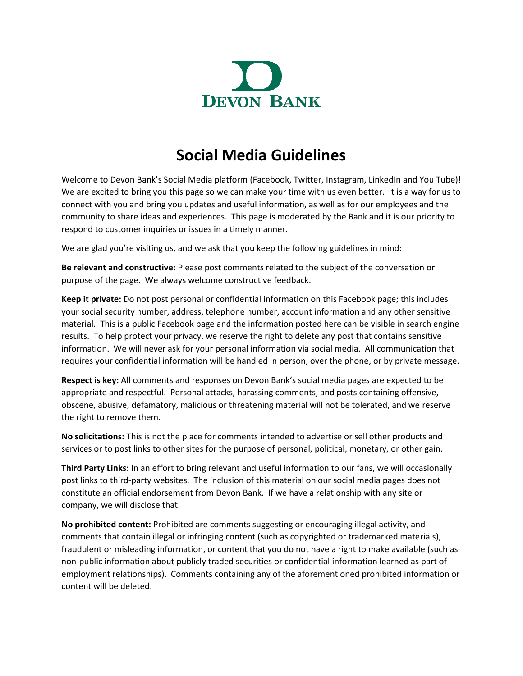

## **Social Media Guidelines**

Welcome to Devon Bank's Social Media platform (Facebook, Twitter, Instagram, LinkedIn and You Tube)! We are excited to bring you this page so we can make your time with us even better. It is a way for us to connect with you and bring you updates and useful information, as well as for our employees and the community to share ideas and experiences. This page is moderated by the Bank and it is our priority to respond to customer inquiries or issues in a timely manner.

We are glad you're visiting us, and we ask that you keep the following guidelines in mind:

**Be relevant and constructive:** Please post comments related to the subject of the conversation or purpose of the page. We always welcome constructive feedback.

**Keep it private:** Do not post personal or confidential information on this Facebook page; this includes your social security number, address, telephone number, account information and any other sensitive material. This is a public Facebook page and the information posted here can be visible in search engine results. To help protect your privacy, we reserve the right to delete any post that contains sensitive information. We will never ask for your personal information via social media. All communication that requires your confidential information will be handled in person, over the phone, or by private message.

**Respect is key:** All comments and responses on Devon Bank's social media pages are expected to be appropriate and respectful. Personal attacks, harassing comments, and posts containing offensive, obscene, abusive, defamatory, malicious or threatening material will not be tolerated, and we reserve the right to remove them.

**No solicitations:** This is not the place for comments intended to advertise or sell other products and services or to post links to other sites for the purpose of personal, political, monetary, or other gain.

**Third Party Links:** In an effort to bring relevant and useful information to our fans, we will occasionally post links to third-party websites. The inclusion of this material on our social media pages does not constitute an official endorsement from Devon Bank. If we have a relationship with any site or company, we will disclose that.

**No prohibited content:** Prohibited are comments suggesting or encouraging illegal activity, and comments that contain illegal or infringing content (such as copyrighted or trademarked materials), fraudulent or misleading information, or content that you do not have a right to make available (such as non-public information about publicly traded securities or confidential information learned as part of employment relationships). Comments containing any of the aforementioned prohibited information or content will be deleted.